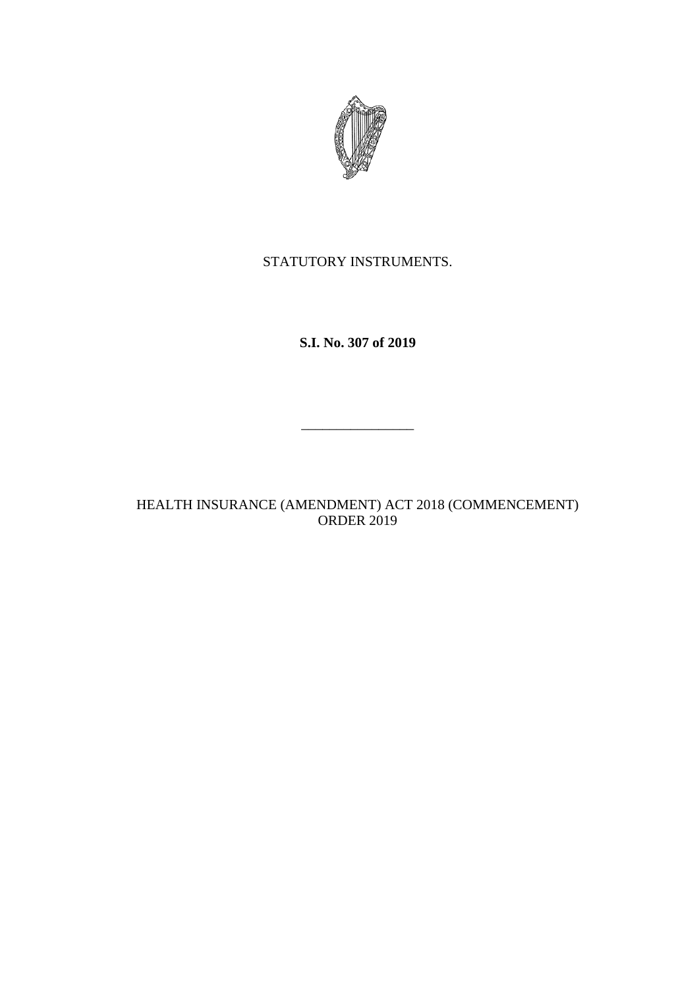

STATUTORY INSTRUMENTS.

**S.I. No. 307 of 2019**

\_\_\_\_\_\_\_\_\_\_\_\_\_\_\_\_

HEALTH INSURANCE (AMENDMENT) ACT 2018 (COMMENCEMENT) ORDER 2019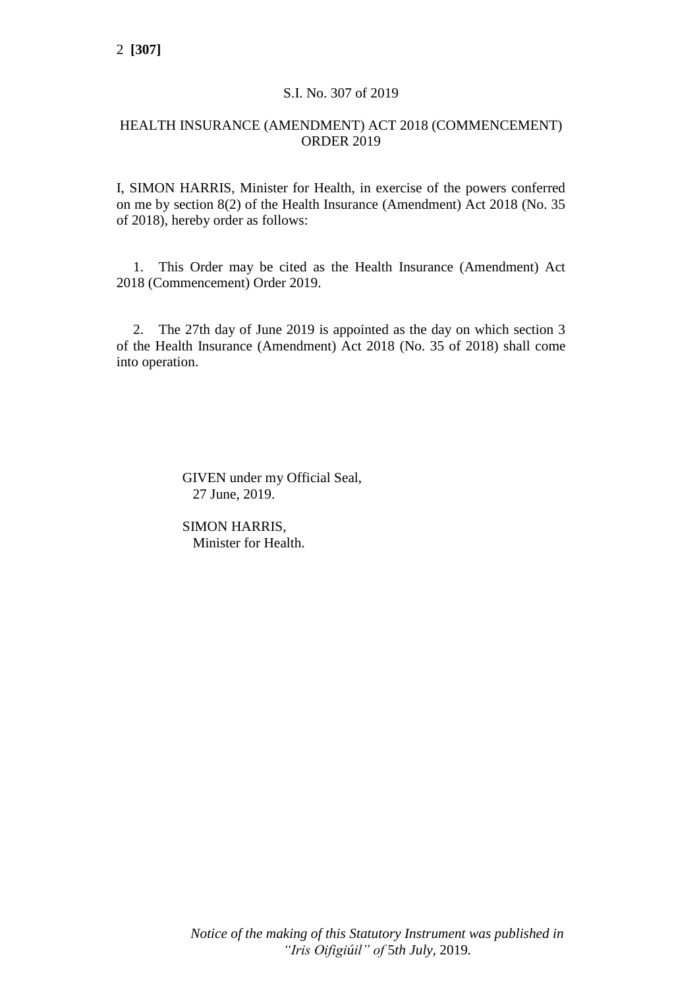# S.I. No. 307 of 2019

### HEALTH INSURANCE (AMENDMENT) ACT 2018 (COMMENCEMENT) ORDER 2019

I, SIMON HARRIS, Minister for Health, in exercise of the powers conferred on me by section 8(2) of the Health Insurance (Amendment) Act 2018 (No. 35 of 2018), hereby order as follows:

1. This Order may be cited as the Health Insurance (Amendment) Act 2018 (Commencement) Order 2019.

2. The 27th day of June 2019 is appointed as the day on which section 3 of the Health Insurance (Amendment) Act 2018 (No. 35 of 2018) shall come into operation.

> GIVEN under my Official Seal, 27 June, 2019.

SIMON HARRIS, Minister for Health.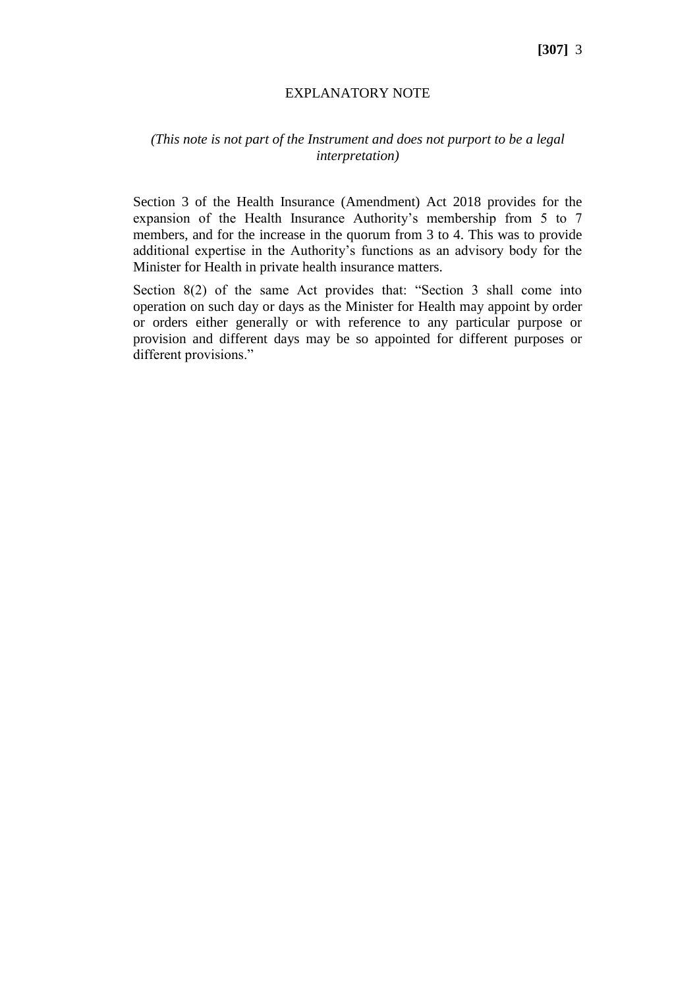### **[307]** 3

#### EXPLANATORY NOTE

# *(This note is not part of the Instrument and does not purport to be a legal interpretation)*

Section 3 of the Health Insurance (Amendment) Act 2018 provides for the expansion of the Health Insurance Authority's membership from 5 to 7 members, and for the increase in the quorum from 3 to 4. This was to provide additional expertise in the Authority's functions as an advisory body for the Minister for Health in private health insurance matters.

Section 8(2) of the same Act provides that: "Section 3 shall come into operation on such day or days as the Minister for Health may appoint by order or orders either generally or with reference to any particular purpose or provision and different days may be so appointed for different purposes or different provisions."